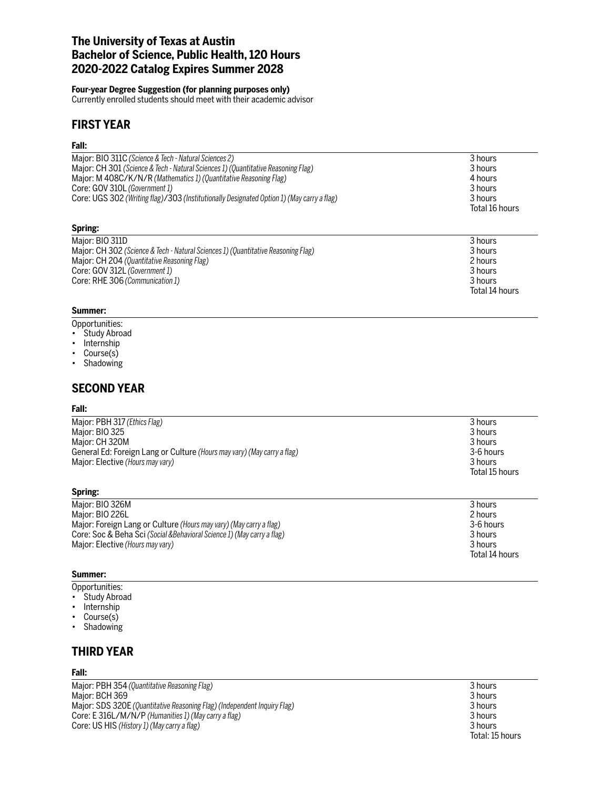# **The University of Texas at Austin Bachelor of Science, Public Health, 120 Hours 2020-2022 Catalog Expires Summer 2028**

#### **Four-year Degree Suggestion (for planning purposes only)**

Currently enrolled students should meet with their academic advisor

# **FIRST YEAR**

## **Fall:**

| Major: BIO 311C (Science & Tech - Natural Sciences 2)<br>Major: CH 301 (Science & Tech - Natural Sciences 1) (Quantitative Reasoning Flag)<br>Major: M 408C/K/N/R (Mathematics 1) (Quantitative Reasoning Flag)<br>Core: GOV 310L (Government 1)<br>Core: UGS 302 (Writing flag)/303 (Institutionally Designated Option 1) (May carry a flag) | 3 hours<br>3 hours<br>4 hours<br>3 hours<br>3 hours<br>Total 16 hours |
|-----------------------------------------------------------------------------------------------------------------------------------------------------------------------------------------------------------------------------------------------------------------------------------------------------------------------------------------------|-----------------------------------------------------------------------|
| Spring:                                                                                                                                                                                                                                                                                                                                       |                                                                       |
| Major: BIO 311D<br>Major: CH 302 (Science & Tech - Natural Sciences 1) (Quantitative Reasoning Flag)<br>Major: CH 204 (Quantitative Reasoning Flag)<br>Core: GOV 312L (Government 1)<br>Core: RHE 306 (Communication 1)                                                                                                                       | 3 hours<br>3 hours<br>2 hours<br>3 hours<br>3 hours<br>Total 14 hours |

#### **Summer:**

- Opportunities:
- Study Abroad
- Internship
- Course(s)
- Shadowing

# **SECOND YEAR**

#### **Fall:**

| 3 hours        |
|----------------|
| 3 hours        |
| 3 hours        |
| 3-6 hours      |
| 3 hours        |
| Total 15 hours |
|                |

| Maior: BIO 326M                                                         | 3 hours        |
|-------------------------------------------------------------------------|----------------|
| Maior: BIO 226L                                                         | 2 hours        |
| Major: Foreign Lang or Culture (Hours may vary) (May carry a flag)      | 3-6 hours      |
| Core: Soc & Beha Sci (Social & Behavioral Science 1) (May carry a flag) | 3 hours        |
| Major: Elective (Hours may vary)                                        | 3 hours        |
|                                                                         | Total 14 hours |

#### **Summer:**

**Spring:**

- Opportunities:
- Study Abroad
- Internship
- Course(s)
- Shadowing

# **THIRD YEAR**

#### **Fall:**

Major: PBH 354 *(Quantitative Reasoning Flag)* 3 hours Major: BCH 369 3 hours Major: SDS 320E *(Quantitative Reasoning Flag) (Independent Inquiry Flag)* 3 hours Core: E 316L/M/N/P *(Humanities 1) (May carry a flag)* 3 hours Core: US HIS *(History 1) (May carry a flag)* 3 hours

Total: 15 hours